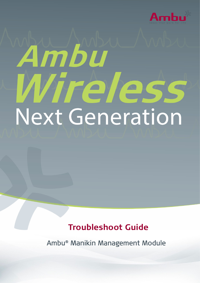

# Ambu frèles. Next Generation

# **Troubleshoot Guide**

Ambu® Manikin Management Module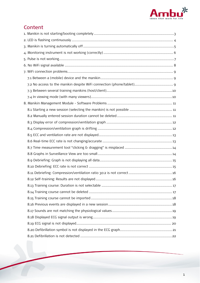

# **Content**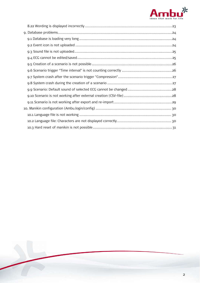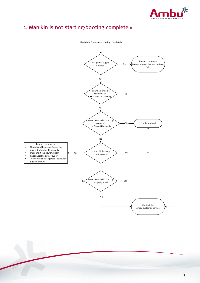

# <span id="page-3-0"></span>1. Manikin is not starting/booting completely

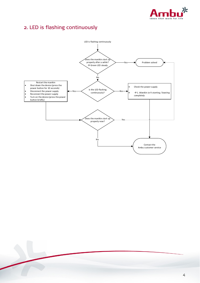

# <span id="page-4-0"></span>2. LED is flashing continuously

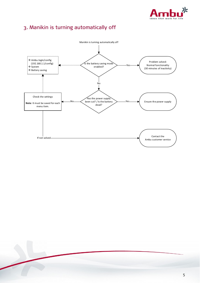

# <span id="page-5-0"></span>3. Manikin is turning automatically off

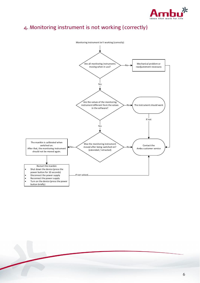

# <span id="page-6-0"></span>4. Monitoring instrument is not working (correctly)

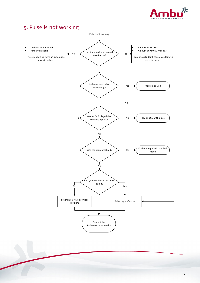

# <span id="page-7-0"></span>5. Pulse is not working

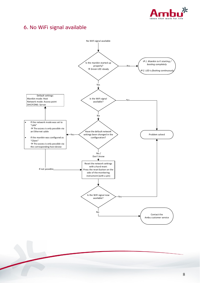

# <span id="page-8-0"></span>6. No WiFi signal available

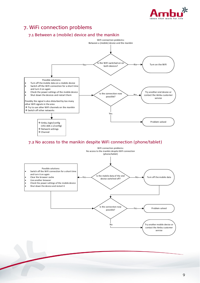

# <span id="page-9-0"></span>7. WiFi connection problems

<span id="page-9-1"></span>

<span id="page-9-2"></span>Is the connection now possible?

No



Problem solved

Try another mobile device or contact the Ambu customer service

Yes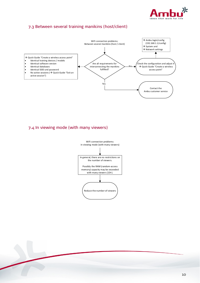

### <span id="page-10-0"></span>7.3 Between several training manikins (host/client)



<span id="page-10-1"></span>7.4 In viewing mode (with many viewers)

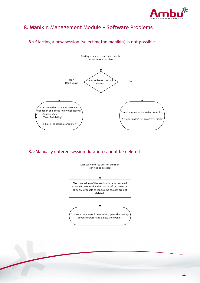

# <span id="page-11-0"></span>8. Manikin Management Module - Software Problems

### The active session has to be closed first  $\rightarrow$  Quick Guide: "Exit an active session" Yes Starting a new session / selecting the manikin isn't possible Is an active session still opened? No / Don't know Check whether an active session is opened in one of the following sections: "Session View" "Team Debriefing"  $\rightarrow$  Close the session completely

### <span id="page-11-1"></span>8.1 Starting a new session (selecting the manikin) is not possible

### <span id="page-11-2"></span>8.2 Manually entered session duration cannot be deleted



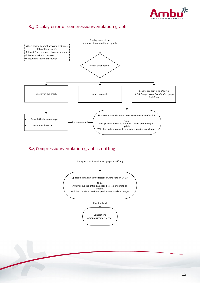

### <span id="page-12-0"></span>8.3 Display error of compression/ventilation graph



### <span id="page-12-1"></span>8.4 Compression/ventilation graph is drifting

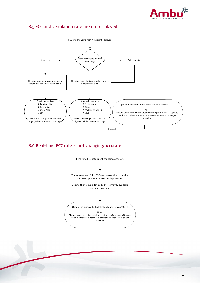

### <span id="page-13-0"></span>8.5 ECC and ventilation rate are not displayed



<span id="page-13-1"></span>8.6 Real-time ECC rate is not changing/accurate

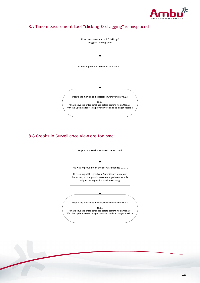

### <span id="page-14-0"></span>8.7 Time measurement tool "clicking & dragging" is misplaced



### <span id="page-14-1"></span>8.8 Graphs in Surveillance View are too small

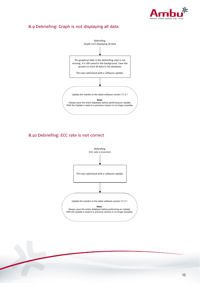

### <span id="page-15-0"></span>8.9 Debriefing: Graph is not displaying all data



### <span id="page-15-1"></span>8.10 Debriefing: ECC rate is not correct

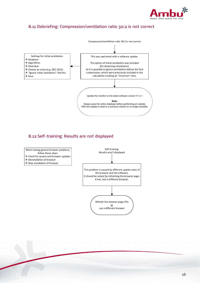

### <span id="page-16-0"></span>8.11 Debriefing: Compression/ventilation ratio 30:2 is not correct



### <span id="page-16-1"></span>8.12 Self-training: Results are not displayed



- $\rightarrow$  Check for system and browser updates
- $\rightarrow$  Deinstallation of browser
- New installation of browser

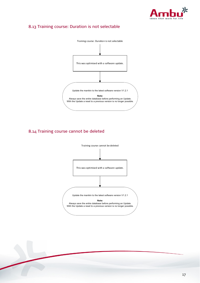

### <span id="page-17-0"></span>8.13 Training course: Duration is not selectable



### <span id="page-17-1"></span>8.14 Training course cannot be deleted

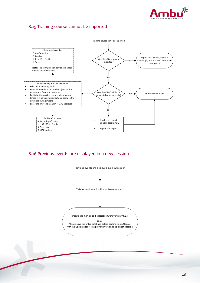

### <span id="page-18-0"></span>8.15 Training course cannot be imported



<span id="page-18-1"></span>8.16 Previous events are displayed in a new session

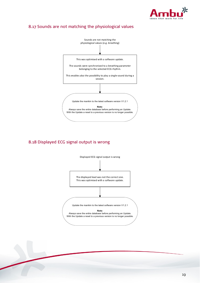

### <span id="page-19-0"></span>8.17 Sounds are not matching the physiological values



### <span id="page-19-1"></span>8.18 Displayed ECG signal output is wrong

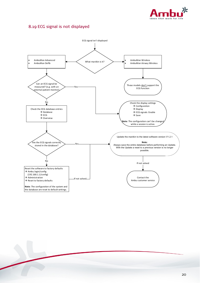

### <span id="page-20-0"></span>8.19 ECG signal is not displayed

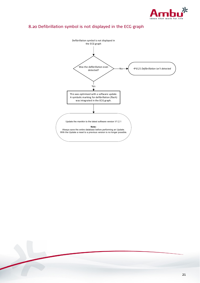![](_page_21_Picture_0.jpeg)

### <span id="page-21-0"></span>8.20 Defibrillation symbol is not displayed in the ECG graph

![](_page_21_Figure_2.jpeg)

![](_page_21_Picture_3.jpeg)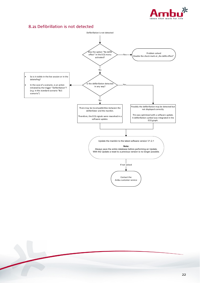![](_page_22_Picture_0.jpeg)

### <span id="page-22-0"></span>8.21 Defibrillation is not detected

![](_page_22_Figure_2.jpeg)

![](_page_22_Picture_3.jpeg)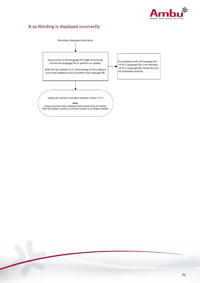![](_page_23_Picture_0.jpeg)

### <span id="page-23-0"></span>8.22 Wording is displayed incorrectly

![](_page_23_Figure_2.jpeg)

![](_page_23_Picture_3.jpeg)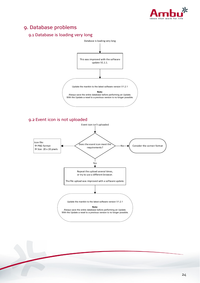![](_page_24_Picture_0.jpeg)

# <span id="page-24-0"></span>9. Database problems

### <span id="page-24-1"></span>9.1 Database is loading very long

<span id="page-24-2"></span>![](_page_24_Figure_3.jpeg)

24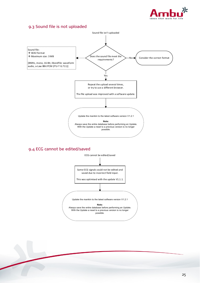![](_page_25_Picture_0.jpeg)

### <span id="page-25-0"></span>9.3 Sound file is not uploaded

![](_page_25_Figure_2.jpeg)

### <span id="page-25-1"></span>9.4 ECG cannot be edited/saved

![](_page_25_Figure_4.jpeg)

![](_page_25_Picture_5.jpeg)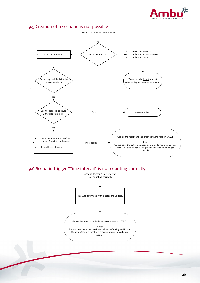![](_page_26_Picture_0.jpeg)

### <span id="page-26-0"></span>9.5 Creation of a scenario is not possible

![](_page_26_Figure_2.jpeg)

### <span id="page-26-1"></span>9.6 Scenario trigger "Time interval" is not counting correctly

![](_page_26_Figure_4.jpeg)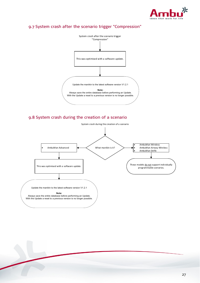![](_page_27_Picture_0.jpeg)

### <span id="page-27-0"></span>9.7 System crash after the scenario trigger "Compression"

![](_page_27_Figure_2.jpeg)

### <span id="page-27-1"></span>9.8 System crash during the creation of a scenario

![](_page_27_Figure_4.jpeg)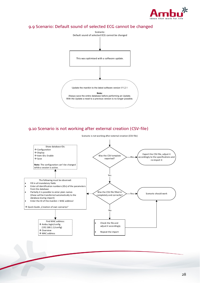![](_page_28_Picture_0.jpeg)

## <span id="page-28-0"></span>9.9 Scenario: Default sound of selected ECG cannot be changed

![](_page_28_Figure_2.jpeg)

### <span id="page-28-1"></span>9.10 Scenario is not working after external creation (CSV-file)

![](_page_28_Figure_4.jpeg)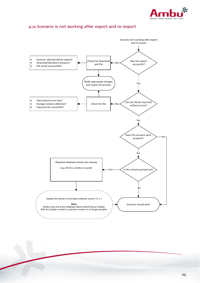![](_page_29_Picture_0.jpeg)

### <span id="page-29-0"></span>9.11 Scenario is not working after export and re-import

![](_page_29_Figure_2.jpeg)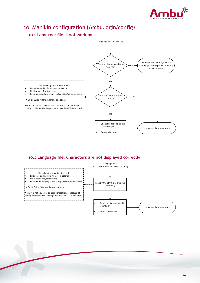![](_page_30_Picture_0.jpeg)

# <span id="page-30-0"></span>10. Manikin configuration (Ambu.login/config)

### <span id="page-30-1"></span>10.1 Language file is not working

![](_page_30_Figure_3.jpeg)

### <span id="page-30-2"></span>10.2 Language file: Characters are not displayed correctly

![](_page_30_Figure_5.jpeg)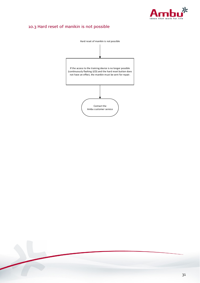![](_page_31_Picture_0.jpeg)

# <span id="page-31-0"></span>10.3 Hard reset of manikin is not possible

![](_page_31_Figure_2.jpeg)

![](_page_31_Picture_3.jpeg)